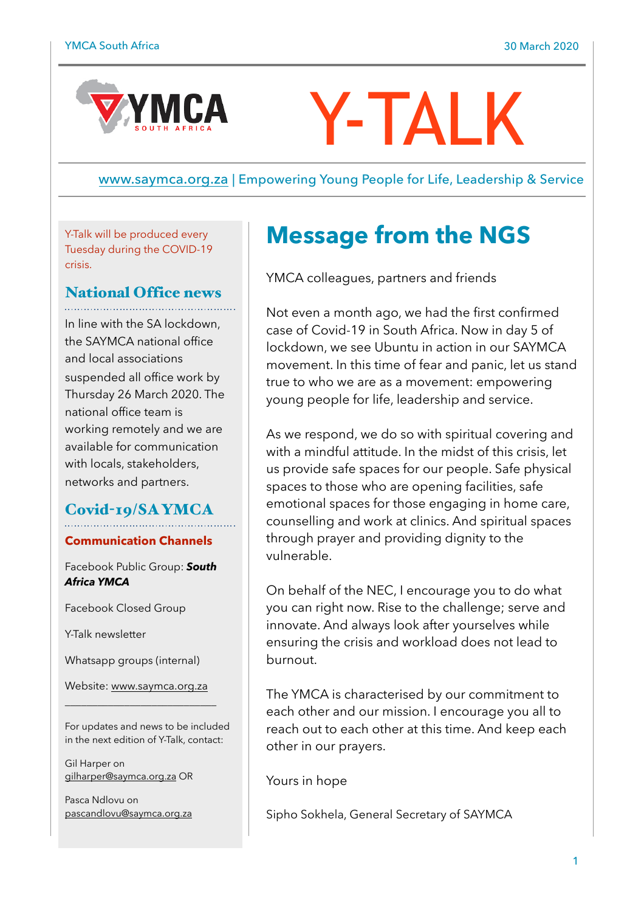

# Y-TALK

[www.saymca.org.za](http://www.saymca.org.za) | Empowering Young People for Life, Leadership & Service

Y-Talk will be produced every Tuesday during the COVID-19 crisis.

# National Office news

In line with the SA lockdown, the SAYMCA national office and local associations suspended all office work by Thursday 26 March 2020. The national office team is working remotely and we are available for communication with locals, stakeholders, networks and partners.

# Covid-19/SA YMCA

#### **Communication Channels**

Facebook Public Group: *South Africa YMCA* 

Facebook Closed Group

Y-Talk newsletter

Whatsapp groups (internal)

Website: [www.saymca.org.za](http://www.saymca.org.za) \_\_\_\_\_\_\_\_\_\_\_\_\_\_\_\_\_\_\_\_\_\_\_\_\_\_\_\_

For updates and news to be included in the next edition of Y-Talk, contact:

Gil Harper on [gilharper@saymca.org.za](mailto:gilharper@saymca.org.za) OR

Pasca Ndlovu on [pascandlovu@saymca.org.za](mailto:pascandlovu@saymca.org.za) 

# **Message from the NGS**

YMCA colleagues, partners and friends

Not even a month ago, we had the first confirmed case of Covid-19 in South Africa. Now in day 5 of lockdown, we see Ubuntu in action in our SAYMCA movement. In this time of fear and panic, let us stand true to who we are as a movement: empowering young people for life, leadership and service.

As we respond, we do so with spiritual covering and with a mindful attitude. In the midst of this crisis, let us provide safe spaces for our people. Safe physical spaces to those who are opening facilities, safe emotional spaces for those engaging in home care, counselling and work at clinics. And spiritual spaces through prayer and providing dignity to the vulnerable.

On behalf of the NEC, I encourage you to do what you can right now. Rise to the challenge; serve and innovate. And always look after yourselves while ensuring the crisis and workload does not lead to burnout.

The YMCA is characterised by our commitment to each other and our mission. I encourage you all to reach out to each other at this time. And keep each other in our prayers.

Yours in hope

Sipho Sokhela, General Secretary of SAYMCA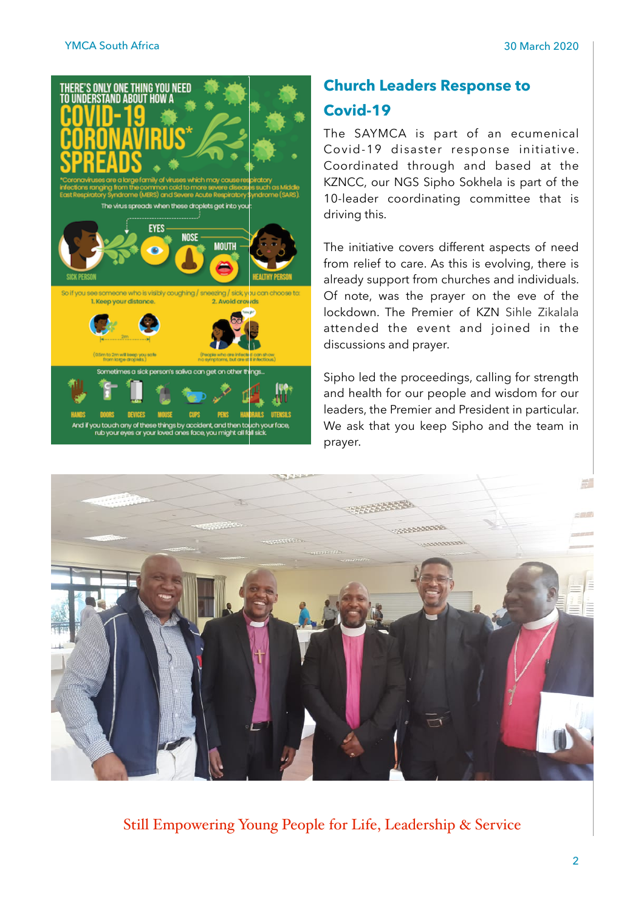

# **Church Leaders Response to Covid-19**

The SAYMCA is part of an ecumenical Covid-19 disaster response initiative. Coordinated through and based at the KZNCC, our NGS Sipho Sokhela is part of the 10-leader coordinating committee that is driving this.

The initiative covers different aspects of need from relief to care. As this is evolving, there is already support from churches and individuals. Of note, was the prayer on the eve of the lockdown. The Premier of KZN Sihle Zikalala attended the event and joined in the discussions and prayer.

Sipho led the proceedings, calling for strength and health for our people and wisdom for our leaders, the Premier and President in particular. We ask that you keep Sipho and the team in prayer.



Still Empowering Young People for Life, Leadership & Service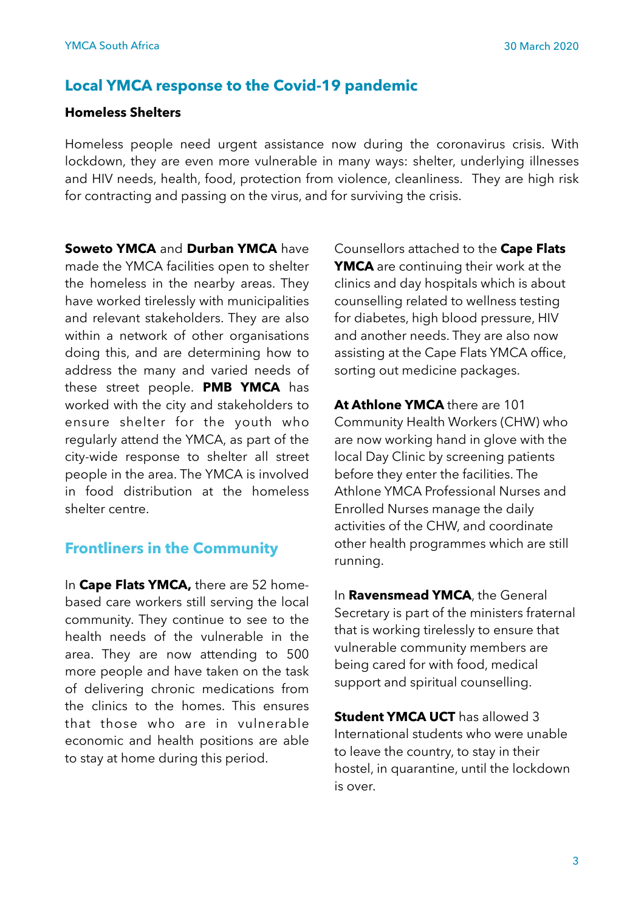# **Local YMCA response to the Covid-19 pandemic**

#### **Homeless Shelters**

Homeless people need urgent assistance now during the coronavirus crisis. With lockdown, they are even more vulnerable in many ways: shelter, underlying illnesses and HIV needs, health, food, protection from violence, cleanliness. They are high risk for contracting and passing on the virus, and for surviving the crisis.

**Soweto YMCA** and **Durban YMCA** have made the YMCA facilities open to shelter the homeless in the nearby areas. They have worked tirelessly with municipalities and relevant stakeholders. They are also within a network of other organisations doing this, and are determining how to address the many and varied needs of these street people. **PMB YMCA** has worked with the city and stakeholders to ensure shelter for the youth who regularly attend the YMCA, as part of the city-wide response to shelter all street people in the area. The YMCA is involved in food distribution at the homeless shelter centre.

#### **Frontliners in the Community**

In **Cape Flats YMCA,** there are 52 homebased care workers still serving the local community. They continue to see to the health needs of the vulnerable in the area. They are now attending to 500 more people and have taken on the task of delivering chronic medications from the clinics to the homes. This ensures that those who are in vulnerable economic and health positions are able to stay at home during this period.

Counsellors attached to the **Cape Flats YMCA** are continuing their work at the clinics and day hospitals which is about counselling related to wellness testing for diabetes, high blood pressure, HIV and another needs. They are also now assisting at the Cape Flats YMCA office, sorting out medicine packages.

**At Athlone YMCA** there are 101 Community Health Workers (CHW) who are now working hand in glove with the local Day Clinic by screening patients before they enter the facilities. The Athlone YMCA Professional Nurses and Enrolled Nurses manage the daily activities of the CHW, and coordinate other health programmes which are still running.

In **Ravensmead YMCA**, the General Secretary is part of the ministers fraternal that is working tirelessly to ensure that vulnerable community members are being cared for with food, medical support and spiritual counselling.

**Student YMCA UCT** has allowed 3 International students who were unable to leave the country, to stay in their hostel, in quarantine, until the lockdown is over.